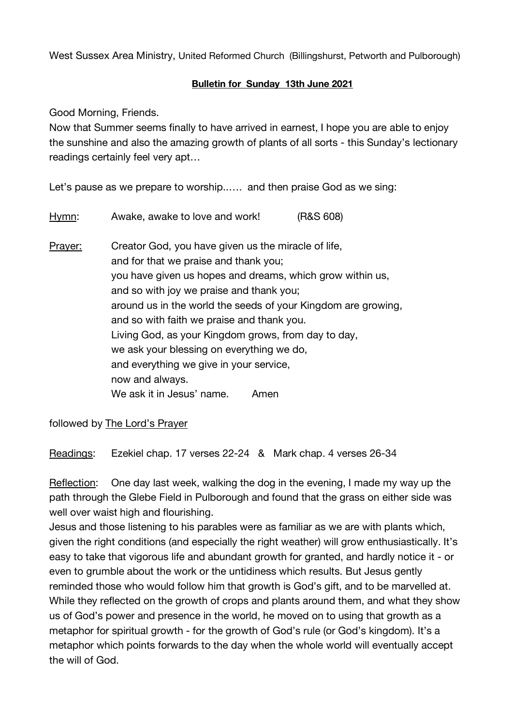West Sussex Area Ministry, United Reformed Church (Billingshurst, Petworth and Pulborough)

## **Bulletin for Sunday 13th June 2021**

Good Morning, Friends.

Now that Summer seems finally to have arrived in earnest, I hope you are able to enjoy the sunshine and also the amazing growth of plants of all sorts - this Sunday's lectionary readings certainly feel very apt…

Let's pause as we prepare to worship..…. and then praise God as we sing:

Hymn: Awake, awake to love and work! (R&S 608) Prayer: Creator God, you have given us the miracle of life, and for that we praise and thank you; you have given us hopes and dreams, which grow within us, and so with joy we praise and thank you; around us in the world the seeds of your Kingdom are growing, and so with faith we praise and thank you. Living God, as your Kingdom grows, from day to day, we ask your blessing on everything we do, and everything we give in your service, now and always. We ask it in Jesus' name. Amen

followed by The Lord's Prayer

Readings: Ezekiel chap. 17 verses 22-24 & Mark chap. 4 verses 26-34

Reflection: One day last week, walking the dog in the evening, I made my way up the path through the Glebe Field in Pulborough and found that the grass on either side was well over waist high and flourishing.

Jesus and those listening to his parables were as familiar as we are with plants which, given the right conditions (and especially the right weather) will grow enthusiastically. It's easy to take that vigorous life and abundant growth for granted, and hardly notice it - or even to grumble about the work or the untidiness which results. But Jesus gently reminded those who would follow him that growth is God's gift, and to be marvelled at. While they reflected on the growth of crops and plants around them, and what they show us of God's power and presence in the world, he moved on to using that growth as a metaphor for spiritual growth - for the growth of God's rule (or God's kingdom). It's a metaphor which points forwards to the day when the whole world will eventually accept the will of God.